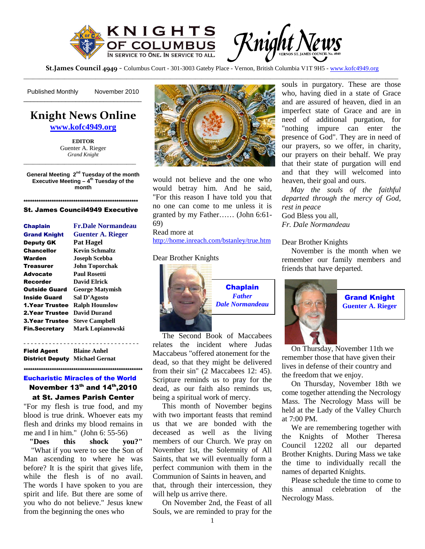

Knight News

**St.James Council 4949** - Columbus Court - 301-3003 Gateby Place - Vernon, British Columbia V1T 9H5 - www.kofc4949.org

Published Monthly -------November 2010

# **Knight News Online**

\_\_\_\_\_\_\_\_\_\_\_\_\_\_\_\_\_\_\_\_\_\_\_\_\_\_\_\_\_\_\_\_\_\_

**www.kofc4949.org**

**EDITOR** Guenter A. Rieger *Grand Knight*

**General Meeting 2nd Tuesday of the month Executive Meeting – 4th Tuesday of the month**

\_\_\_\_\_\_\_\_\_\_\_\_\_\_\_\_\_\_\_\_\_\_\_\_\_\_\_\_\_\_\_\_\_\_\_\_

#### **\*\*\*\*\*\*\*\*\*\*\*\*\*\*\*\*\*\*\*\*\*\*\*\*\*\*\*\*\*\*\*\*\*\*\*\*\*\*\*\*\*\*\*\*\*\*\*\*\*\*\*\*\*** St. James Council4949 Executive

| <b>Chaplain</b>        | <b>Fr.Dale Normandeau</b> |
|------------------------|---------------------------|
| <b>Grand Knight</b>    | <b>Guenter A. Rieger</b>  |
| <b>Deputy GK</b>       | Pat Hagel                 |
| Chancellor             | Kevin Schmaltz            |
| Warden                 | <b>Joseph Scebba</b>      |
| Treasurer              | <b>John Toporchak</b>     |
| Advocate               | <b>Paul Rosetti</b>       |
| Recorder               | David Elrick              |
| Outside Guard          | <b>George Matymish</b>    |
| Inside Guard           | Sal D'Agosto              |
| 1.Year Trustee         | <b>Ralph Hounslow</b>     |
| 2. Year Trustee        | David Durand              |
| <b>3. Year Trustee</b> | <b>Steve Campbell</b>     |
| <b>Fin.Secretary</b>   | <b>Mark Lopianowski</b>   |
|                        |                           |

- - - - - - - - - - - - - - - - - - - - - - - - - - - - - - - - Field Agent **Blaine Anhel** District Deputy **Michael Gernat**

Eucharistic Miracles of the World November  $13^{th}$  and  $14^{th}$ , 2010

at St. James Parish Center

**\*\*\*\*\*\*\*\*\*\*\*\*\*\*\*\*\*\*\*\*\*\*\*\*\*\*\*\*\*\*\*\*\*\*\*\*\*\*\*\*\*\*\*\*\*\*\*\*\*\*\*\*\*\*\***

"For my flesh is true food, and my blood is true drink. Whoever eats my flesh and drinks my blood remains in me and I in him." (John 6: 55-56)

**"Does this shock you?"** "What if you were to see the Son of Man ascending to where he was before? It is the spirit that gives life, while the flesh is of no avail. The words I have spoken to you are spirit and life. But there are some of you who do not believe." Jesus knew from the beginning the ones who



would not believe and the one who would betray him. And he said, "For this reason I have told you that no one can come to me unless it is granted by my Father…… (John 6:61- 69)

Read more at http://home.inreach.com/bstanley/true.htm

#### Dear Brother Knights



The Second Book of Maccabees relates the incident where Judas Maccabeus "offered atonement for the dead, so that they might be delivered from their sin" (2 Maccabees 12: 45). Scripture reminds us to pray for the dead, as our faith also reminds us, being a spiritual work of mercy.

This month of November begins with two important feasts that remind us that we are bonded with the deceased as well as the living members of our Church. We pray on November 1st, the Solemnity of All Saints, that we will eventually form a perfect communion with them in the Communion of Saints in heaven, and that, through their intercession, they will help us arrive there.

On November 2nd, the Feast of all Souls, we are reminded to pray for the souls in purgatory. These are those who, having died in a state of Grace and are assured of heaven, died in an imperfect state of Grace and are in need of additional purgation, for "nothing impure can enter the presence of God". They are in need of our prayers, so we offer, in charity, our prayers on their behalf. We pray that their state of purgation will end and that they will welcomed into heaven, their goal and ours.

*May the souls of the faithful departed through the mercy of God, rest in peace* God Bless you all, *Fr. Dale Normandeau*

## Dear Brother Knights

November is the month when we remember our family members and friends that have departed.



Grand Knight **Guenter A. Rieger**

On Thursday, November 11th we remember those that have given their lives in defense of their country and the freedom that we enjoy.

On Thursday, November 18th we come together attending the Necrology Mass. The Necrology Mass will be held at the Lady of the Valley Church at 7:00 PM.

We are remembering together with the Knights of Mother Theresa Council 12202 all our departed Brother Knights. During Mass we take the time to individually recall the names of departed Knights.

Please schedule the time to come to this annual celebration of the Necrology Mass.